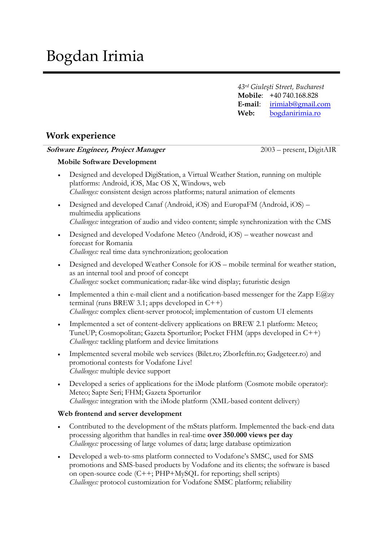*43rd Giuleşti Street, Bucharest* **Mobile**: +40 740.168.828 **E-mail**: [irimiab@gmail.com](mailto:irimiab@gmail.com) **Web:** [bogdanirimia.ro](http://www.bogdanirimia.ro/)

## **Work experience**

### **Software Engineer, Project Manager** 2003 – present, DigitAIR

## **Mobile Software Development**

- Designed and developed DigiStation, a Virtual Weather Station, running on multiple platforms: Android, iOS, Mac OS X, Windows, web *Challenges:* consistent design across platforms; natural animation of elements
- Designed and developed Canaf (Android, iOS) and EuropaFM (Android, iOS) multimedia applications *Challenges:* integration of audio and video content; simple synchronization with the CMS
- Designed and developed Vodafone Meteo (Android, iOS) weather nowcast and forecast for Romania *Challenges:* real time data synchronization; geolocation
- Designed and developed Weather Console for iOS mobile terminal for weather station, as an internal tool and proof of concept *Challenges:* socket communication; radar-like wind display; futuristic design
- Implemented a thin e-mail client and a notification-based messenger for the Zapp E@zy terminal (runs BREW 3.1; apps developed in  $C++$ ) *Challenges:* complex client-server protocol; implementation of custom UI elements
- Implemented a set of content-delivery applications on BREW 2.1 platform: Meteo; TuneUP; Cosmopolitan; Gazeta Sporturilor; Pocket FHM (apps developed in C++) *Challenges:* tackling platform and device limitations
- Implemented several mobile web services (Bilet.ro; ZborIeftin.ro; Gadgeteer.ro) and promotional contests for Vodafone Live! *Challenges:* multiple device support
- Developed a series of applications for the iMode platform (Cosmote mobile operator): Meteo; Sapte Seri; FHM; Gazeta Sporturilor *Challenges:* integration with the iMode platform (XML-based content delivery)

### **Web frontend and server development**

- Contributed to the development of the mStats platform. Implemented the back-end data processing algorithm that handles in real-time **over 350.000 views per day** *Challenges:* processing of large volumes of data; large database optimization
- Developed a web-to-sms platform connected to Vodafone's SMSC, used for SMS promotions and SMS-based products by Vodafone and its clients; the software is based on open-source code (C++; PHP+MySQL for reporting; shell scripts) *Challenges:* protocol customization for Vodafone SMSC platform; reliability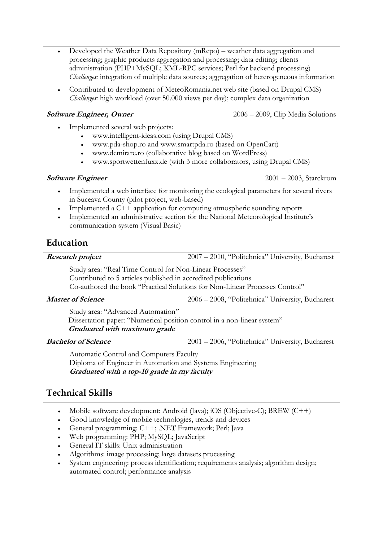- Developed the Weather Data Repository (mRepo) weather data aggregation and processing; graphic products aggregation and processing; data editing; clients administration (PHP+MySQL; XML-RPC services; Perl for backend processing) *Challenges:* integration of multiple data sources; aggregation of heterogeneous information
- Contributed to development of MeteoRomania.net web site (based on Drupal CMS) *Challenges:* high workload (over 50.000 views per day); complex data organization

- Implemented several web projects:
	- www.intelligent-ideas.com (using Drupal CMS)
	- www.pda-shop.ro and www.smartpda.ro (based on OpenCart)
	- www.demirare.ro (collaborative blog based on WordPress)
	- www.sportwettenfuxx.de (with 3 more collaborators, using Drupal CMS)

- Implemented a web interface for monitoring the ecological parameters for several rivers in Suceava County (pilot project, web-based)
- Implemented a  $C++$  application for computing atmospheric sounding reports
- Implemented an administrative section for the National Meteorological Institute's communication system (Visual Basic)

## **Education**

**Research project** 2007 – 2010, "Politehnica" University, Bucharest

Study area: "Real Time Control for Non-Linear Processes" Contributed to 5 articles published in accredited publications Co-authored the book "Practical Solutions for Non-Linear Processes Control"

**Master of Science** 2006 – 2008, "Politehnica" University, Bucharest

Study area: "Advanced Automation" Dissertation paper: "Numerical position control in a non-linear system"

**Graduated with maximum grade**

**Bachelor of Science** 2001 – 2006, "Politehnica" University, Bucharest

Automatic Control and Computers Faculty Diploma of Engineer in Automation and Systems Engineering **Graduated with a top-10 grade in my faculty**

# **Technical Skills**

- Mobile software development: Android (Java); iOS (Objective-C); BREW (C++)
- Good knowledge of mobile technologies, trends and devices
- General programming: C++; .NET Framework; Perl; Java
- Web programming: PHP; MySQL; JavaScript
- General IT skills: Unix administration
- Algorithms: image processing; large datasets processing
- System engineering: process identification; requirements analysis; algorithm design; automated control; performance analysis

**Software Engineer, Owner** 2006 – 2009, Clip Media Solutions

**Software Engineer** 2001 – 2003, Starckrom